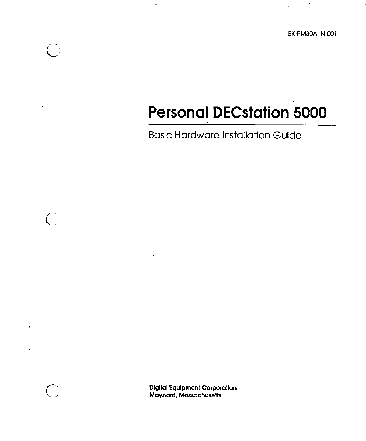# **Personal DECstation 5000**

 $\sigma_{\rm{eff}}$  and

Basic Hardware Installation Guide

 $\bigcirc$ 

 $\bigcup$ 

 $\bigcirc$ 

 $\hat{A}$ 

**Digital Equipment Corporation Maynard, Massachusetts**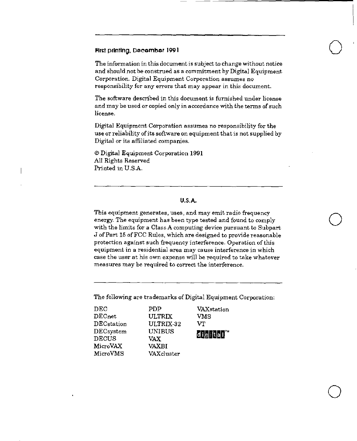#### First printlng, December 1991

The information in this document is subject to change without notice and should not be construed as a commitment by Digital Equipment Corporation. Digital Equipment Corporation assumes no responsibility for any errors that may appear in this document.

 $\bigcirc$ 

 $\bigcirc$ 

 $\bigcirc$ 

The software described in this document is furnished under license and may be used or copied only in accordance with the terms of such license.

Digital Equipment Corporation assumes no responsibility for the use or reliability of its software on equipment that is not supplied by Digital or its affiliated companies.

© Digital Equipment Corporation 1991 All Rights Reserved Printed in U.SA.

#### **U.S.A.**

This equipment generates, uses, and may emit radio frequency energy. The equipment has been type tested and found to comply with the limits for a Class A computing device pursuant to Subpart J of Part 15 of FCC Rules, which are designed to provide reasonable protection against such frequency interference. Operation of this equipment in a residential area may cause interference in which case the user at his own expense will be required to take whatever measures may be required to correct the interference.

The following are trademarks of Digital Equipment Corporation:

| DEC                          | PDP           | VAXstation              |
|------------------------------|---------------|-------------------------|
| $\rm{DECnet}$                | <b>ULTRIX</b> | VMS                     |
| $\operatorname{DEC}$ station | ULTRIX-32     | vт                      |
| $\operatorname{DEC}$ system  | <b>UNIBUS</b> | diigiitlan <sup>w</sup> |
| DECUS                        | VA X          |                         |
| MicroVAX                     | VAXRI         |                         |
| MicroVMS                     | VAXcluster    |                         |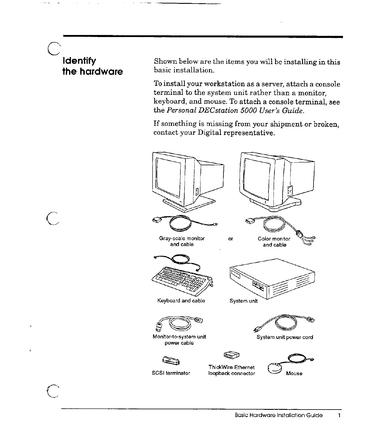# $\overline{C}$ **Identify the hardware**

 $\overline{C}$ 

 $\mathbb{C}$ 

Ġ.

Shown below are the items you will be installing in this basic installation.

To install your workstation as a server, attach a console terminal to the system unit rather than a monitor, keyboard, and mouse. To attach a console terminal, see the *Personal DECstation 5000 User's Guide.* 

If something is missing from your shipment or broken, contact your Digital representative.

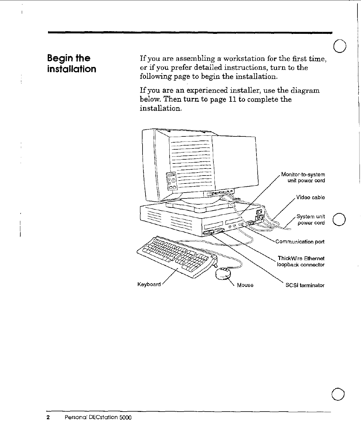### **Begin the** installation

If you are assembling a workstation for the first time, or if you prefer detailed instructions, turn to the following page to begin the installation.

If you are an experienced installer, use the diagram below. Then turn to page 11 to complete the installation.

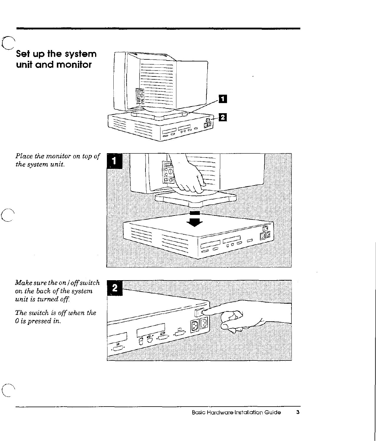# C **Set up the system unit and monitor**



*Place the monitor on top of the system unit.* 

*C* 

 $\bigcap$ 



*Make sure the on/ off switch on the back of the system unit is turrwd off* 

*The switch* is *off when the 0 is pressed in.* 

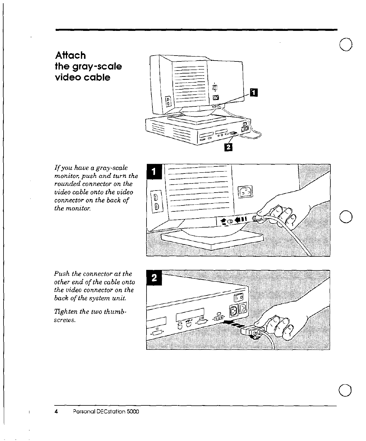### **Attach the gray-scale video cable**



*If you have a gray-scale monitor, push and turn the rounded connector on the video cable onto the video connector on the back of the monitor.* 



 $\bigcirc$ 

 $\bigcirc$ 

 $\bigcirc$ 

*Push the connector at the other end of the cable onto the video connector on the back of the system unit.* 

*Tighten the two thumbscrews.* 

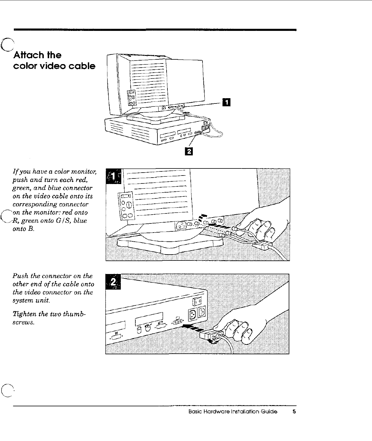## C **Attach the color video cable**



*If you have a color monitor, push and turn each red, green, and blue connector on the video cable onto its corresponding connector Con the monitor: red onto R, green onto* GI *S, blue onto B.* 

ግሮ  $\frac{1}{\sqrt{30.000}}$ 

*Push the connector on the other end of the cable onto the video connector on the system unit.* 

*Tighten the two thumbscrews.* 

 $\left($ 

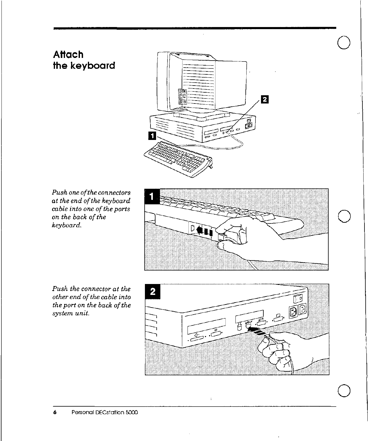### **Attach** the keyboard

 $\overline{\mathbf{a}}$ Í

Push one of the connectors at the end of the keyboard cable into one of the ports on the back of the keyboard.



Push the connector at the other end of the cable into the port on the back of the system unit.

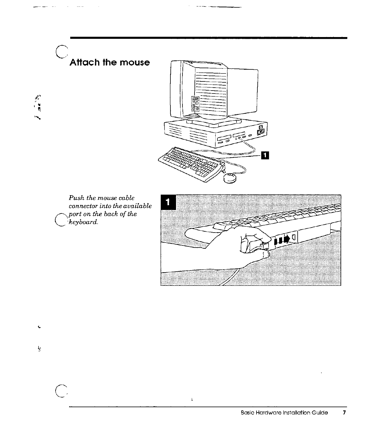

 $\ddot{\phantom{a}}$ 

 $\epsilon$ 

 $\mathbf{\hat{S}}$ 

 $\bigcap$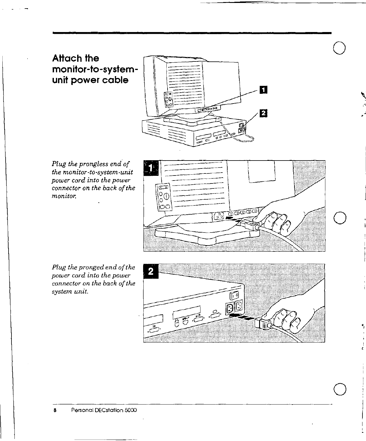#### **Attach the monitor-to-systemunit power cable**



*Plug the prongless end of the monitor-to-system-unit power cord into the power connector on the back of the monitor.* 



 $\bigcirc$ 

 $\bigcirc$ 

*Plug the pronged end of the power cord into the power connector on the back of the system unit.* 

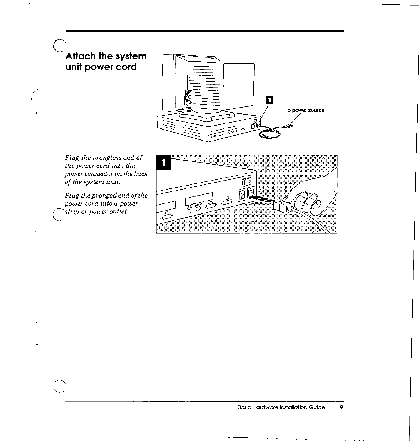## Attach the system unit power cord

 $\cdots$ 

 $\widetilde{\mathbf{v}}$ 

 $\,$   $\,$ 



Plug the prongless end of the power cord into the power connector on the back of the system unit.

 $\label{thm:1} {\small \textit{Plug the propged end of the}} \\ {\small \textit{power cord into a power}} \\$ strip or power outlet.

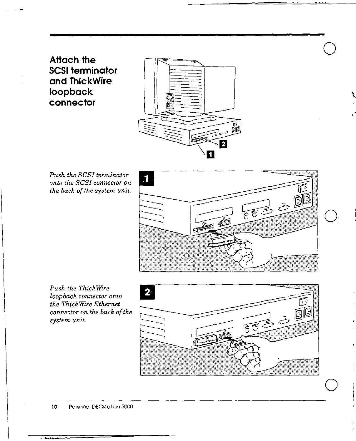**Attach the SCSI terminator and ThickWire loopback connector** 



*Push the SCSI terminator onto the SCSI connector on the back of the system unit.* 



 $\bigcirc$ 

*Push the Thick Wire loopback connector onto the Thick Wire Ethernet connector on the back of the system unit.* 



 $\overline{121}$